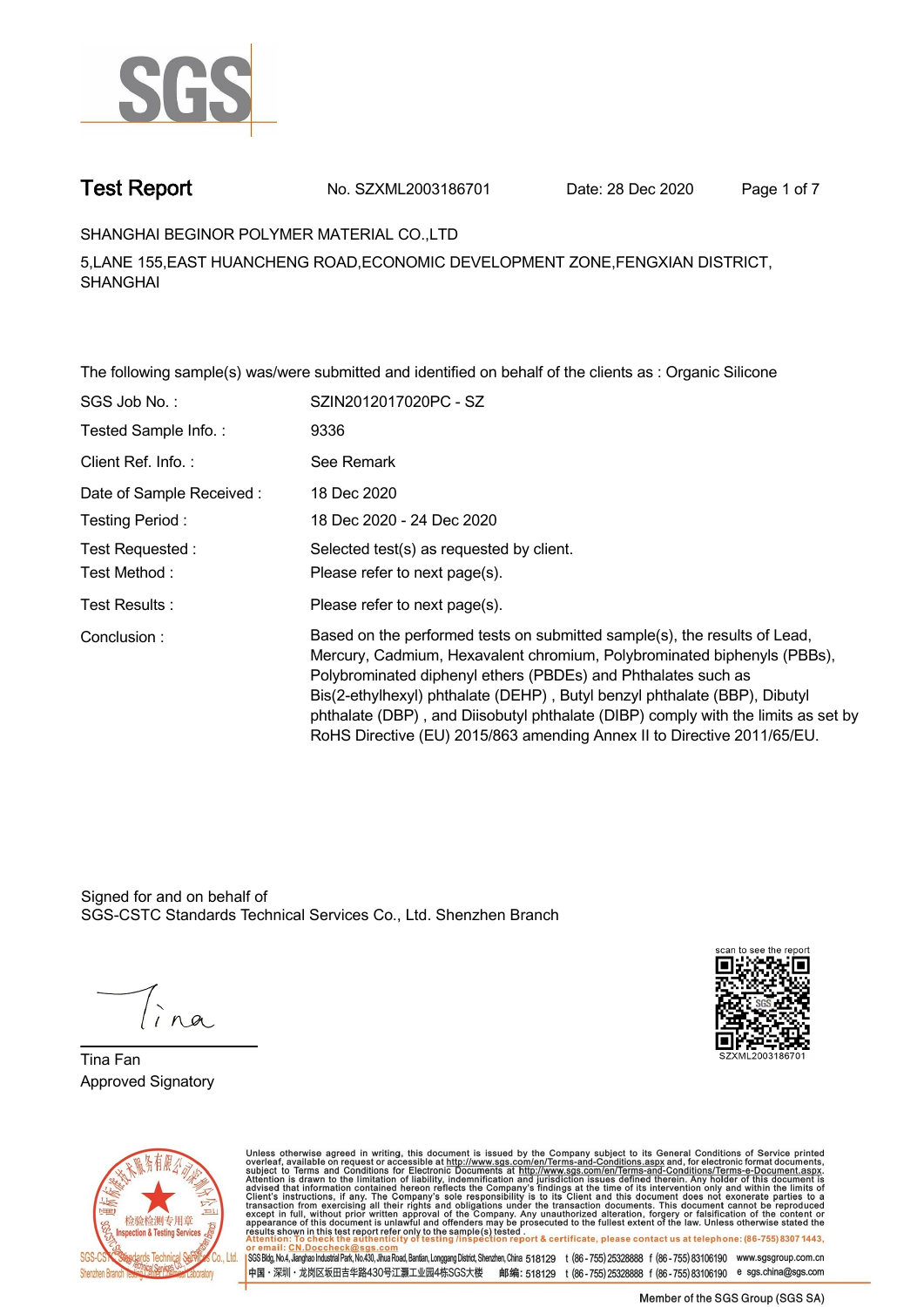

**Test Report. No. SZXML2003186701 Date: 28 Dec 2020. Page 1 of 7.**

## **SHANGHAI BEGINOR POLYMER MATERIAL CO.,LTD .**

**5,LANE 155,EAST HUANCHENG ROAD,ECONOMIC DEVELOPMENT ZONE,FENGXIAN DISTRICT, SHANGHAI**

**The following sample(s) was/were submitted and identified on behalf of the clients as : Organic Silicone .**

| SGS Job No.:             | SZIN2012017020PC - SZ                                                                                                                                                                                                                                                                                                                                                                                                                                              |
|--------------------------|--------------------------------------------------------------------------------------------------------------------------------------------------------------------------------------------------------------------------------------------------------------------------------------------------------------------------------------------------------------------------------------------------------------------------------------------------------------------|
| Tested Sample Info.:     | 9336                                                                                                                                                                                                                                                                                                                                                                                                                                                               |
| Client Ref. Info.:       | See Remark                                                                                                                                                                                                                                                                                                                                                                                                                                                         |
| Date of Sample Received: | 18 Dec 2020                                                                                                                                                                                                                                                                                                                                                                                                                                                        |
| Testing Period:          | 18 Dec 2020 - 24 Dec 2020                                                                                                                                                                                                                                                                                                                                                                                                                                          |
| Test Requested:          | Selected test(s) as requested by client.                                                                                                                                                                                                                                                                                                                                                                                                                           |
| Test Method:             | Please refer to next page(s).                                                                                                                                                                                                                                                                                                                                                                                                                                      |
| Test Results:            | Please refer to next page(s).                                                                                                                                                                                                                                                                                                                                                                                                                                      |
| Conclusion:              | Based on the performed tests on submitted sample(s), the results of Lead,<br>Mercury, Cadmium, Hexavalent chromium, Polybrominated biphenyls (PBBs),<br>Polybrominated diphenyl ethers (PBDEs) and Phthalates such as<br>Bis(2-ethylhexyl) phthalate (DEHP), Butyl benzyl phthalate (BBP), Dibutyl<br>phthalate (DBP), and Diisobutyl phthalate (DIBP) comply with the limits as set by<br>RoHS Directive (EU) 2015/863 amending Annex II to Directive 2011/65/EU. |

Signed for and on behalf of SGS-CSTC Standards Technical Services Co., Ltd. Shenzhen Branch.

**Tina Fan. Approved Signatory .**





Unless otherwise agreed in writing, this document is issued by the Company subject to its General Conditions of Service printed overleaf, available on request or accessible at http://www.sgs.com/en/Terms-and-Conditions.as SGS Bldg, No.4, Jianghao Industrial Park, No.430, Jihua Road, Bantian, Longgang District, Shenzhen, China 518129 t (86-755) 25328888 f (86-755) 83106190 www.sgsgroup.com.cn -<br>中国・深圳・龙岗区坂田吉华路430号江灏工业园4栋SGS大楼 邮编: 518129 t (86 - 755) 25328888 f (86 - 755) 83106190 e sgs.china@sgs.com

Member of the SGS Group (SGS SA)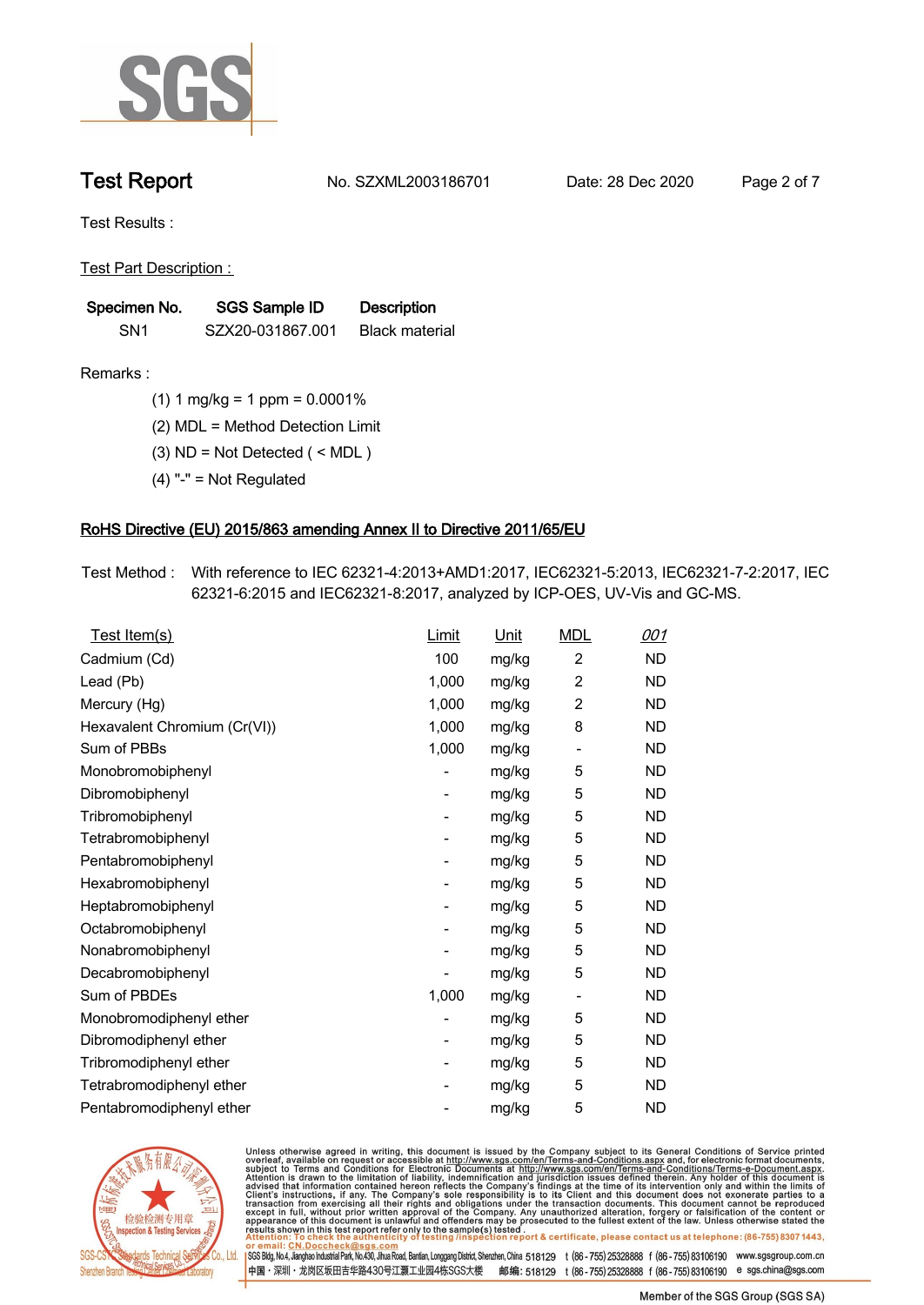

**Test Report. No. SZXML2003186701 Date: 28 Dec 2020. Page 2 of 7.**

**Test Results :.**

**Test Part Description : .**

| Specimen No.    | SGS Sample ID    | <b>Description</b>    |  |
|-----------------|------------------|-----------------------|--|
| SN <sub>1</sub> | SZX20-031867.001 | <b>Black material</b> |  |

- **Remarks :.(1) 1 mg/kg = 1 ppm = 0.0001% .**
	- **(2) MDL = Method Detection Limit .**
	- **(3) ND = Not Detected ( < MDL ) .**
	- **(4) "-" = Not Regulated .**

## **RoHS Directive (EU) 2015/863 amending Annex II to Directive 2011/65/EU.**

**Test Method :. With reference to IEC 62321-4:2013+AMD1:2017, IEC62321-5:2013, IEC62321-7-2:2017, IEC 62321-6:2015 and IEC62321-8:2017, analyzed by ICP-OES, UV-Vis and GC-MS. .**

| Test Item(s)                 | Limit          | <u>Unit</u> | <b>MDL</b>     | 001       |
|------------------------------|----------------|-------------|----------------|-----------|
| Cadmium (Cd)                 | 100            | mg/kg       | $\overline{2}$ | <b>ND</b> |
| Lead (Pb)                    | 1,000          | mg/kg       | 2              | <b>ND</b> |
| Mercury (Hg)                 | 1,000          | mg/kg       | $\overline{c}$ | <b>ND</b> |
| Hexavalent Chromium (Cr(VI)) | 1,000          | mg/kg       | 8              | <b>ND</b> |
| Sum of PBBs                  | 1,000          | mg/kg       |                | <b>ND</b> |
| Monobromobiphenyl            | $\overline{a}$ | mg/kg       | 5              | <b>ND</b> |
| Dibromobiphenyl              | $\overline{a}$ | mg/kg       | 5              | <b>ND</b> |
| Tribromobiphenyl             | $\overline{a}$ | mg/kg       | 5              | <b>ND</b> |
| Tetrabromobiphenyl           | -              | mg/kg       | 5              | <b>ND</b> |
| Pentabromobiphenyl           | $\overline{a}$ | mg/kg       | 5              | <b>ND</b> |
| Hexabromobiphenyl            |                | mg/kg       | 5              | <b>ND</b> |
| Heptabromobiphenyl           | -              | mg/kg       | 5              | <b>ND</b> |
| Octabromobiphenyl            |                | mg/kg       | 5              | <b>ND</b> |
| Nonabromobiphenyl            |                | mg/kg       | 5              | <b>ND</b> |
| Decabromobiphenyl            |                | mg/kg       | 5              | <b>ND</b> |
| Sum of PBDEs                 | 1,000          | mg/kg       |                | <b>ND</b> |
| Monobromodiphenyl ether      | $\overline{a}$ | mg/kg       | 5              | <b>ND</b> |
| Dibromodiphenyl ether        | -              | mg/kg       | 5              | <b>ND</b> |
| Tribromodiphenyl ether       | $\overline{a}$ | mg/kg       | 5              | <b>ND</b> |
| Tetrabromodiphenyl ether     |                | mg/kg       | 5              | <b>ND</b> |
| Pentabromodiphenyl ether     |                | mg/kg       | 5              | <b>ND</b> |
|                              |                |             |                |           |



Unless otherwise agreed in writing, this document is issued by the Company subject to its General Conditions of Service printed overleaf, available on request or accessible at <u>http://www.sgs.com/en/Terms-and-Conditions.a</u>

SGS Bldg, No.4, Jianghao Industrial Park, No.430, Jihua Road, Bantian, Longgang District, Shenzhen, China 518129 t (86-755) 25328888 f (86-755) 83106190 www.sgsgroup.com.cn 中国·深圳·龙岗区坂田吉华路430号江灏工业园4栋SGS大楼 邮编: 518129 t (86-755) 25328888 f (86-755) 83106190 e sgs.china@sgs.com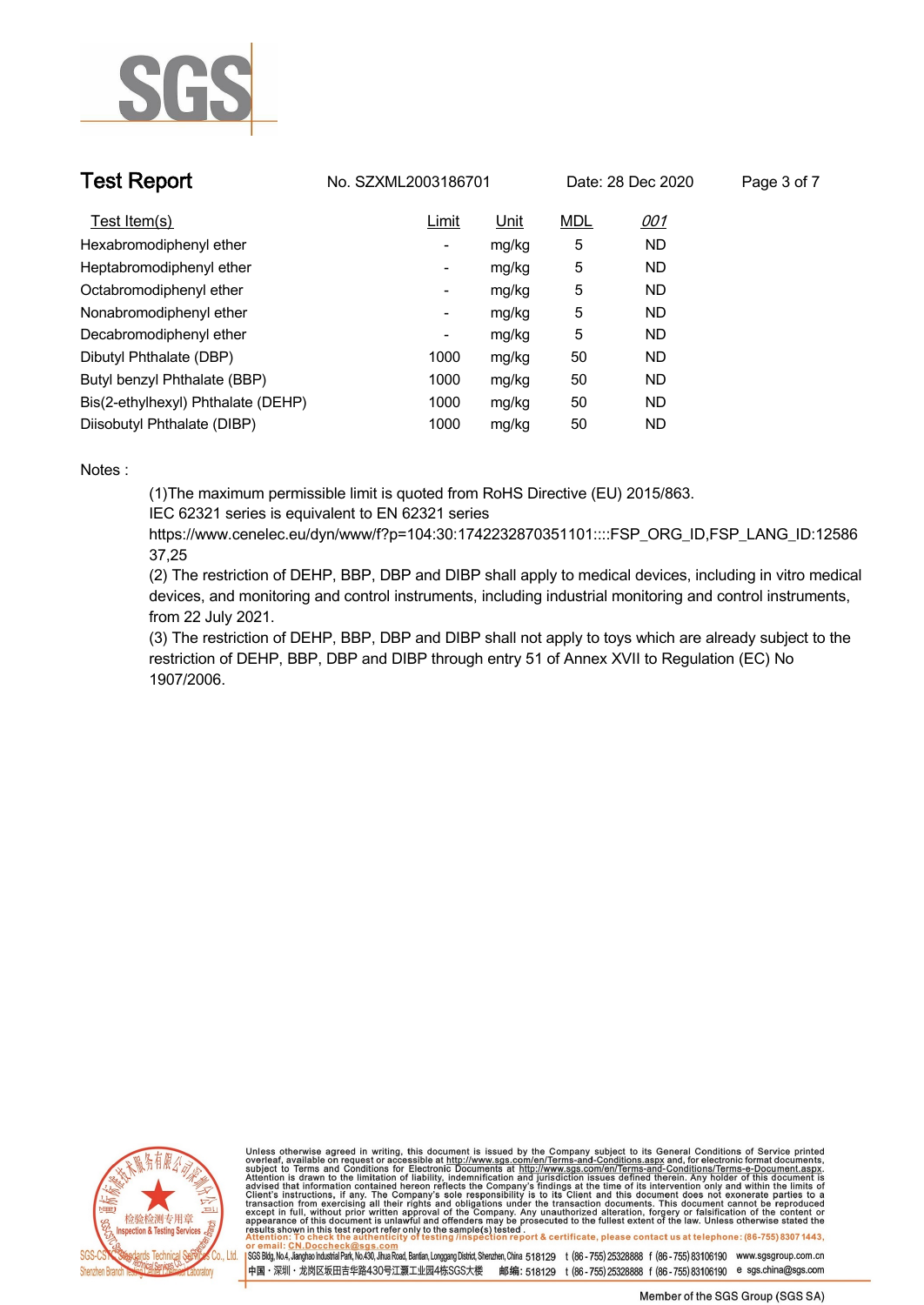

| <b>Test Report</b>                 | No. SZXML2003186701      |             | Date: 28 Dec 2020 |            | Page 3 of 7 |
|------------------------------------|--------------------------|-------------|-------------------|------------|-------------|
| Test Item(s)                       | Limit                    | <u>Unit</u> | <b>MDL</b>        | <u>001</u> |             |
| Hexabromodiphenyl ether            | $\overline{\phantom{a}}$ | mg/kg       | 5                 | <b>ND</b>  |             |
| Heptabromodiphenyl ether           | $\overline{\phantom{a}}$ | mg/kg       | 5                 | <b>ND</b>  |             |
| Octabromodiphenyl ether            | $\overline{\phantom{a}}$ | mg/kg       | 5                 | ND.        |             |
| Nonabromodiphenyl ether            | $\overline{\phantom{a}}$ | mg/kg       | 5                 | <b>ND</b>  |             |
| Decabromodiphenyl ether            | $\overline{\phantom{a}}$ | mg/kg       | 5                 | <b>ND</b>  |             |
| Dibutyl Phthalate (DBP)            | 1000                     | mg/kg       | 50                | ND         |             |
| Butyl benzyl Phthalate (BBP)       | 1000                     | mg/kg       | 50                | ND         |             |
| Bis(2-ethylhexyl) Phthalate (DEHP) | 1000                     | mg/kg       | 50                | <b>ND</b>  |             |
| Diisobutyl Phthalate (DIBP)        | 1000                     | mg/kg       | 50                | ND         |             |

### **Notes :.**

**(1)The maximum permissible limit is quoted from RoHS Directive (EU) 2015/863.**

**IEC 62321 series is equivalent to EN 62321 series**

**https://www.cenelec.eu/dyn/www/f?p=104:30:1742232870351101::::FSP\_ORG\_ID,FSP\_LANG\_ID:12586 37,25**

**(2) The restriction of DEHP, BBP, DBP and DIBP shall apply to medical devices, including in vitro medical devices, and monitoring and control instruments, including industrial monitoring and control instruments, from 22 July 2021.**

**(3) The restriction of DEHP, BBP, DBP and DIBP shall not apply to toys which are already subject to the restriction of DEHP, BBP, DBP and DIBP through entry 51 of Annex XVII to Regulation (EC) No 1907/2006..**



Unless otherwise agreed in writing, this document is issued by the Company subject to its General Conditions of Service printed overleaf, available on request or accessible at <u>http://www.sgs.com/en/Terms-and-Conditions.a</u>

SGS Bldg, No.4, Jianghao Industrial Park, No.430, Jihua Road, Bantian, Longgang District, Shenzhen, China 518129 t (86-755) 25328888 f (86-755) 83106190 www.sgsgroup.com.cn 中国·深圳·龙岗区坂田吉华路430号江灏工业园4栋SGS大楼 邮编: 518129 t (86-755) 25328888 f (86-755) 83106190 e sgs.china@sgs.com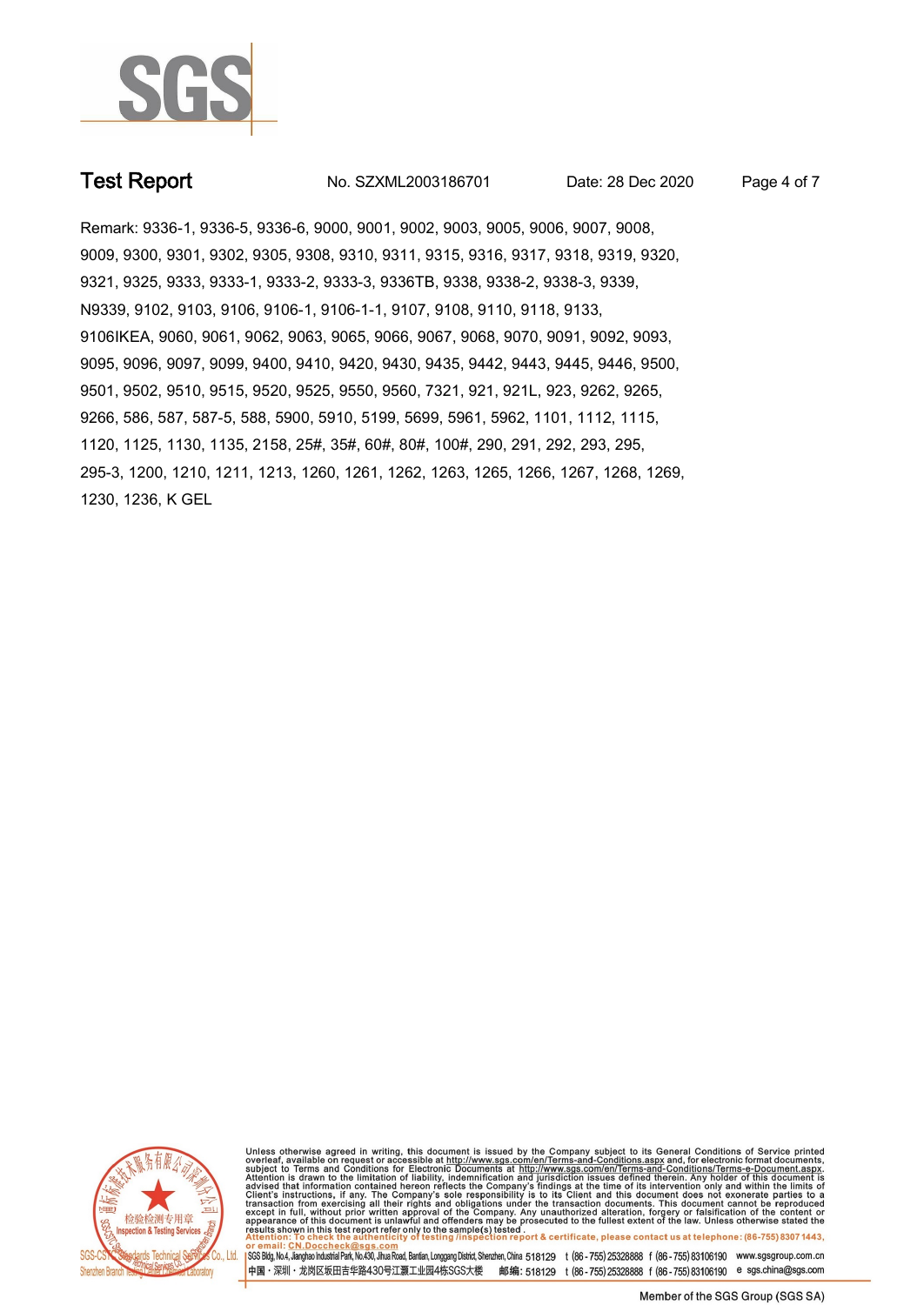

**Test Report. No. SZXML2003186701 Date: 28 Dec 2020. Page 4 of 7.**

Remark: 9336-1, 9336-5, 9336-6, 9000, 9001, 9002, 9003, 9005, 9006, 9007, 9008, 9009, 9300, 9301, 9302, 9305, 9308, 9310, 9311, 9315, 9316, 9317, 9318, 9319, 9320, 9321, 9325, 9333, 9333-1, 9333-2, 9333-3, 9336TB, 9338, 9338-2, 9338-3, 9339,<br>N9339, 9102, 9103, 9106, 9106-1, 9106-1-1, 9107, 9108, 9110, 9118, 9133,<br>9106IKEA, 9060, 9061, 9062, 9063, 9065, 9066, 9067, 9068, 9070, 9091, 9 9095, 9096, 9097, 9099, 9400, 9410, 9420, 9430, 9435, 9442, 9443, 9445, 9446, 9500, 9501, 9502, 9510, 9515, 9520, 9525, 9550, 9560, 7321, 921, 921L, 923, 9262, 9265, 9266, 586, 587, 587-5, 588, 5900, 5910, 5199, 5699, 5961, 5962, 1101, 1112, 1115, 1120, 1125, 1130, 1135, 2158, 25#, 35#, 60#, 80#, 100#, 290, 291, 292, 293, 295, 295-3, 1200, 1210, 1211, 1213, 1260, 1261, 1262, 1263, 1265, 1266, 1267, 1268, 1269, 1230, 1236, K GEL



Unless otherwise agreed in writing, this document is issued by the Company subject to its General Conditions of Service printed overleaf, available on request or accessible at <u>http://www.sgs.com/en/Terms-and-Conditions.a</u>

SGS Bldg, No.4, Jianghao Industrial Park, No.430, Jihua Road, Bantian, Longgang District, Shenzhen, China 518129 t (86-755) 25328888 f (86-755) 83106190 www.sgsgroup.com.cn 中国・深圳・龙岗区坂田吉华路430号江灏工业园4栋SGS大楼 邮编: 518129 t (86-755) 25328888 f (86-755) 83106190 e sgs.china@sgs.com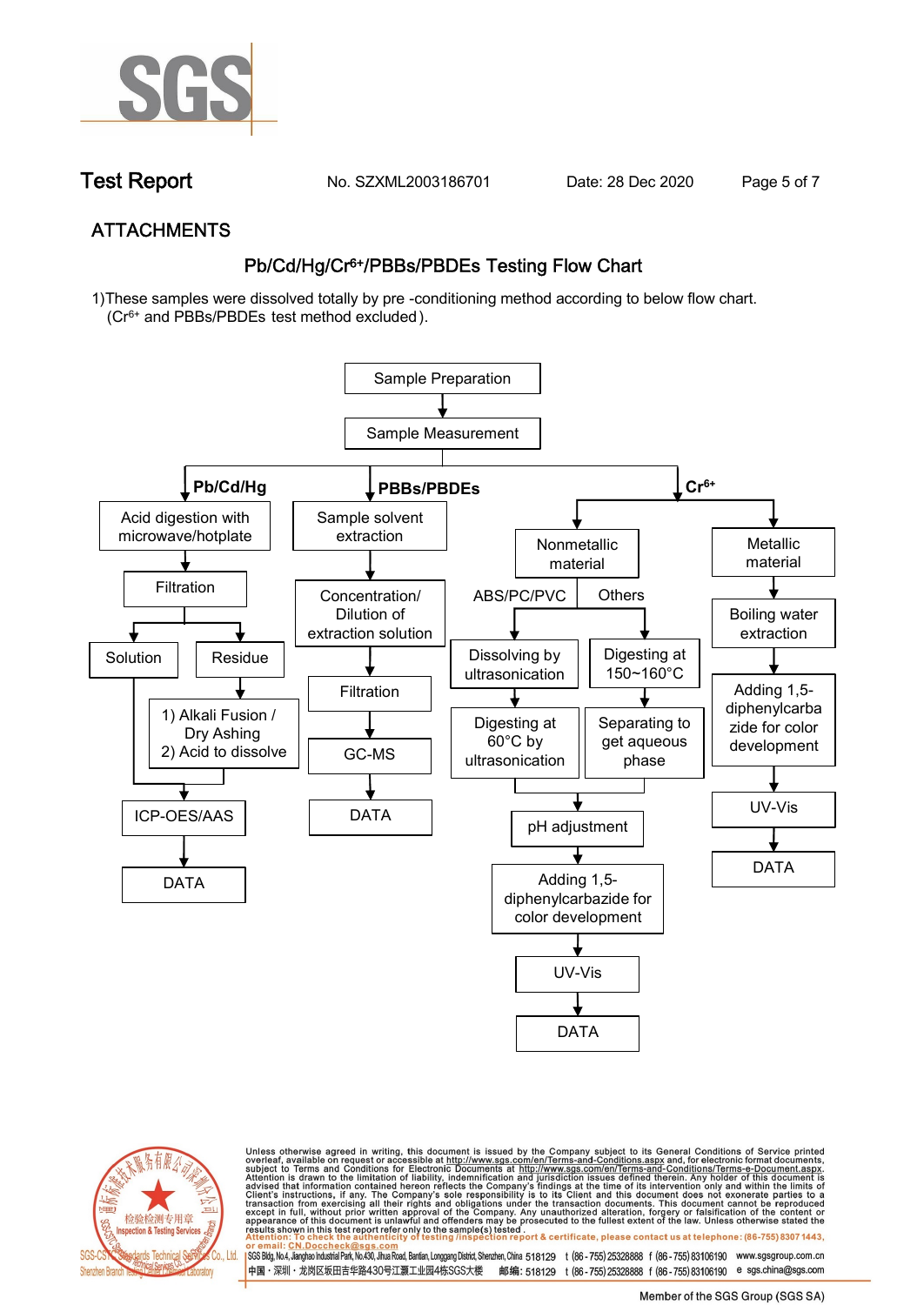

**Test Report. No. SZXML2003186701** Date: 28 Dec 2020 Page 5 of 7

# **ATTACHMENTS Pb/Cd/Hg/Cr6+/PBBs/PBDEs Testing Flow Chart**

**1)These samples were dissolved totally by pre -conditioning method according to below flow chart. (Cr6+ and PBBs/PBDEs test method excluded ).**





Unless otherwise agreed in writing, this document is issued by the Company subject to its General Conditions of Service printed<br>overleaf, available on request or accessible at http://www.sgs.com/en/Terms-and-Conditions.as

SGS Bldg, No.4, Jianghao Industrial Park, No.430, Jihua Road, Bantian, Longgang District, Shenzhen, China 518129 t (86-755) 25328888 f (86-755) 83106190 www.sgsgroup.com.cn 中国·深圳·龙岗区坂田吉华路430号江灏工业园4栋SGS大楼 邮编: 518129 t (86-755) 25328888 f (86-755) 83106190 e sgs.china@sgs.com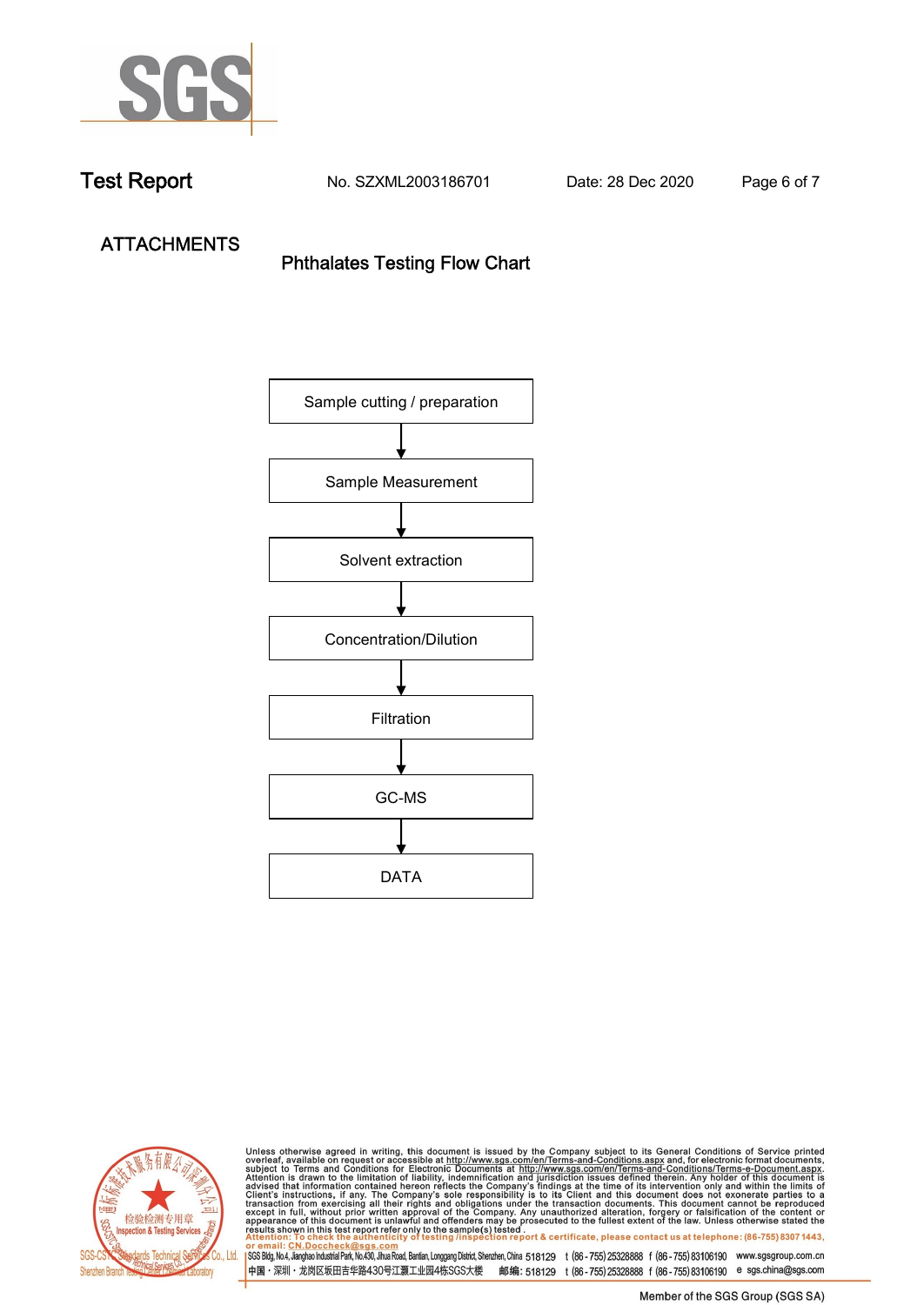

**Test Report. No. SZXML2003186701 Date: 28 Dec 2020. Page 6 of 7.**

**ATTACHMENTS Phthalates Testing Flow Chart** 





Unless otherwise agreed in writing, this document is issued by the Company subject to its General Conditions of Service printed overleaf, available on request or accessible at http://www.sgs.com/en/Terms-and-Conditions.as

SGS Bldg, No.4, Jianghao Industrial Park, No.430, Jihua Road, Bantian, Longgang District, Shenzhen, China 518129 t (86-755) 25328888 f (86-755) 83106190 www.sgsgroup.com.cn 中国·深圳·龙岗区坂田吉华路430号江灏工业园4栋SGS大楼 邮编: 518129 t (86-755) 25328888 f (86-755) 83106190 e sgs.china@sgs.com

Member of the SGS Group (SGS SA)